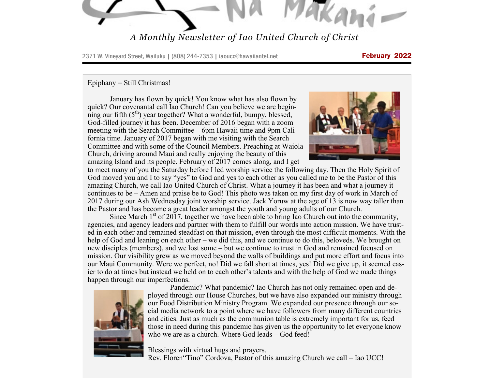TAKAMI.

## *A Monthly Newsletter of Iao United Church of Christ*

2371 W. Vineyard Street, Wailuku | (808) 244-7353 | iaoucc@hawaiiantel.net February 2022

#### Epiphany = Still Christmas!

January has flown by quick! You know what has also flown by quick? Our covenantal call Iao Church! Can you believe we are beginning our fifth  $(5<sup>th</sup>)$  year together? What a wonderful, bumpy, blessed, God-filled journey it has been. December of 2016 began with a zoom meeting with the Search Committee – 6pm Hawaii time and 9pm California time. January of 2017 began with me visiting with the Search Committee and with some of the Council Members. Preaching at Waiola Church, driving around Maui and really enjoying the beauty of this amazing Island and its people. February of 2017 comes along, and I get



to meet many of you the Saturday before I led worship service the following day. Then the Holy Spirit of God moved you and I to say "yes" to God and yes to each other as you called me to be the Pastor of this amazing Church, we call Iao United Church of Christ. What a journey it has been and what a journey it continues to be – Amen and praise be to God! This photo was taken on my first day of work in March of 2017 during our Ash Wednesday joint worship service. Jack Yoruw at the age of 13 is now way taller than the Pastor and has become a great leader amongst the youth and young adults of our Church.

Since March  $1<sup>st</sup>$  of 2017, together we have been able to bring Iao Church out into the community, agencies, and agency leaders and partner with them to fulfill our words into action mission. We have trusted in each other and remained steadfast on that mission, even through the most difficult moments. With the help of God and leaning on each other – we did this, and we continue to do this, beloveds. We brought on new disciples (members), and we lost some – but we continue to trust in God and remained focused on mission. Our visibility grew as we moved beyond the walls of buildings and put more effort and focus into our Maui Community. Were we perfect, no! Did we fall short at times, yes! Did we give up, it seemed easier to do at times but instead we held on to each other's talents and with the help of God we made things happen through our imperfections.



Pandemic? What pandemic? Iao Church has not only remained open and deployed through our House Churches, but we have also expanded our ministry through our Food Distribution Ministry Program. We expanded our presence through our social media network to a point where we have followers from many different countries and cities. Just as much as the communion table is extremely important for us, feed those in need during this pandemic has given us the opportunity to let everyone know who we are as a church. Where God leads – God feed!

Blessings with virtual hugs and prayers.

Rev. Floren"Tino" Cordova, Pastor of this amazing Church we call – Iao UCC!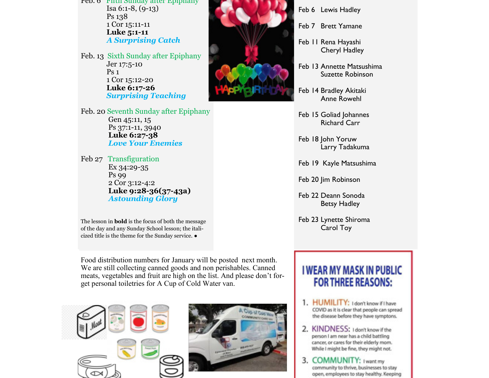Feb. 6 Fifth Sunday after Epiphany Isa 6:1-8, (9-13) Ps 138 1 Cor 15:11-11 **Luke 5:1-11** *A Surprising Catch*

Feb. 13 Sixth Sunday after Epiphany Jer 17:5-10 Ps 1 1 Cor 15:12-20 **Luke 6:17-26** *Surprising Teaching*

Feb. 20 Seventh Sunday after Epiphany Gen 45:11, 15 Ps 37:1-11, 3940 **Luke 6:27-38** *Love Your Enemies*

Feb 27 Transfiguration Ex 34:29-35 Ps 99 2 Cor 3:12-4:2 **Luke 9:28-36(37-43a)** *Astounding Glory*

The lesson in **bold** is the focus of both the message of the day and any Sunday School lesson; the italicized title is the theme for the Sunday service. ●

Food distribution numbers for January will be posted next month. We are still collecting canned goods and non perishables. Canned meats, vegetables and fruit are high on the list. And please don't forget personal toiletries for A Cup of Cold Water van.





Feb 6 Lewis Hadley

- Feb 7 Brett Yamane
- Feb 11 Rena Hayashi Cheryl Hadley
- Feb 13 Annette Matsushima Suzette Robinson
- Feb 14 Bradley Akitaki Anne Rowehl
- Feb 15 Goliad Johannes Richard Carr
- Feb 18 John Yoruw Larry Tadakuma
- Feb 19 Kayle Matsushima
- Feb 20 Jim Robinson
- Feb 22 Deann Sonoda Betsy Hadley
- Feb 23 Lynette Shiroma Carol Toy

# **I WEAR MY MASK IN PUBLIC FOR THREE REASONS:**

- 1. HUMILITY: I don't know if I have COVID as it is clear that people can spread the disease before they have symptons.
- 2. KINDNESS: I don't know if the person I am near has a child battling cancer, or cares for their elderly mom. While I might be fine, they might not.
- 3. COMMUNITY: I want my community to thrive, businesses to stay open, employees to stay healthy. Keeping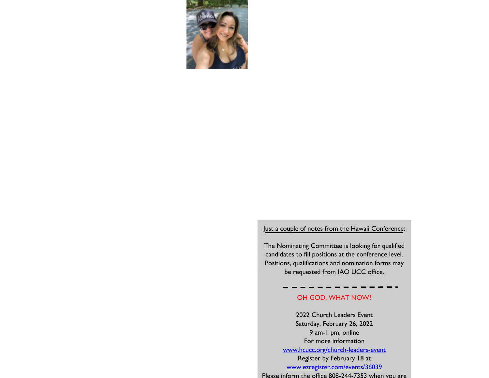<span id="page-2-0"></span>

#### Just a couple of notes from the Hawaii Conference:

The Nominating Committee is looking for qualified candidates to fill positions at the conference level. Positions, qualifications and nomination forms may be requested from IAO UCC office.

### OH GOD, WHAT NOW?

2022 Church Leaders Event Saturday, February 26, 2022 9 am-1 pm, online For more information [www.hcucc.org/church-leaders-event](#page-2-0) Register by February 18 at [www.ezregister.com/events/36039](#page-2-0) Please inform the office 808-244-7353 when you are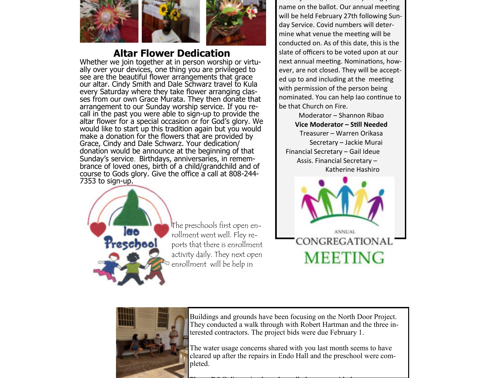

## **Altar Flower Dedication**

Whether we join together at in person worship or virtually over your devices, one thing you are privileged to see are the beautiful flower arrangements that grace our altar. Cindy Smith and Dale Schwarz travel to Kula every Saturday where they take flower arranging classes from our own Grace Murata. They then donate that arrangement to our Sunday worship service. If you recall in the past you were able to sign-up to provide the altar flower for a special occasion or for God's glory. We would like to start up this tradition again but you would make a donation for the flowers that are provided by Grace, Cindy and Dale Schwarz. Your dedication/ donation would be announce at the beginning of that Sunday's service. Birthdays, anniversaries, in remembrance of loved ones, birth of a child/grandchild and of course to Gods glory. Give the office a call at 808-244- 7353 to sign-up.



The preschools first open enrollment went well. Fley reports that there is enrollment activity daily. They next open enrollment will be help in

Please join us and consider putting your name on the ballot. Our annual meeting will be held February 27th following Sunday Service. Covid numbers will determine what venue the meeting will be conducted on. As of this date, this is the slate of officers to be voted upon at our next annual meeting. Nominations, however, are not closed. They will be accepted up to and including at the meeting with permission of the person being nominated. You can help Iao continue to be that Church on Fire.

Moderator – Shannon Ribao **Vice Moderator – Still Needed** Treasurer – Warren Orikasa Secretary – Jackie Murai Financial Secretary – Gail Ideue Assis. Financial Secretary – Katherine Hashiro





Buildings and grounds have been focusing on the North Door Project. They conducted a walk through with Robert Hartman and the three interested contractors. The project bids were due February 1.

The water usage concerns shared with you last month seems to have cleared up after the repairs in Endo Hall and the preschool were completed.

Photo: B&G discussing how the walk thru went with the contractors.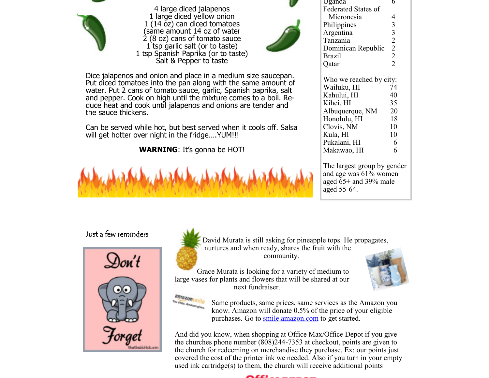<span id="page-4-0"></span>

4 large diced jalapenos 1 large diced yellow onion 1 (14 oz) can diced tomatoes (same amount 14 oz of water 2 (8 oz) cans of tomato sauce 1 tsp garlic salt (or to taste) 1 tsp Spanish Paprika (or to taste) Salt & Pepper to taste



Dice jalapenos and onion and place in a medium size saucepan. Put diced tomatoes into the pan along with the same amount of water. Put 2 cans of tomato sauce, garlic, Spanish paprika, salt and pepper. Cook on high until the mixture comes to a boil. Reduce heat and cook until jalapenos and onions are tender and the sauce thickens.

Can be served while hot, but best served when it cools off. Salsa will get hotter over night in the fridge.... YUM!!!

**WARNING**: It's gonna be HOT!



| <b>Federated States of</b> |                |
|----------------------------|----------------|
| Micronesia                 | 4              |
| Philippines                | 3              |
| Argentina                  | $\overline{3}$ |
| Tanzania                   | $\overline{2}$ |
| Dominican Republic         | $\overline{2}$ |
| Brazil                     | $\overline{2}$ |
| Qatar                      | $\overline{2}$ |
|                            |                |
| Who we reached by city:    |                |
| Wailuku, HI                | 74             |
| Kahului, HI                | 40             |
| Kihei, HI                  | 35             |
| Albuquerque, NM            | 20             |
| Honolulu, HI               | 18             |
| Clovis, NM                 | 10             |
| Kula, HI                   | 10             |
| Pukalani, HI               | 6              |
| Makawao, HI                | 6              |

Uganda 6

The largest group by gender and age was 61% women aged  $65+$  and 39% male aged 55-64.

## Just a few reminders





 David Murata is still asking for pineapple tops. He propagates, nurtures and when ready, shares the fruit with the community.

Grace Murata is looking for a variety of medium to large vases for plants and flowers that will be shared at our next fundraiser.





Same products, same prices, same services as the Amazon you know. Amazon will donate 0.5% of the price of your eligible purchases. Go to [smile.amazon.com](#page-4-0) to get started.

And did you know, when shopping at Office Max/Office Depot if you give the churches phone number (808)244-7353 at checkout, points are given to the church for redeeming on merchandise they purchase. Ex: our points just covered the cost of the printer ink we needed. Also if you turn in your empty used ink cartridge(s) to them, the church will receive additional points

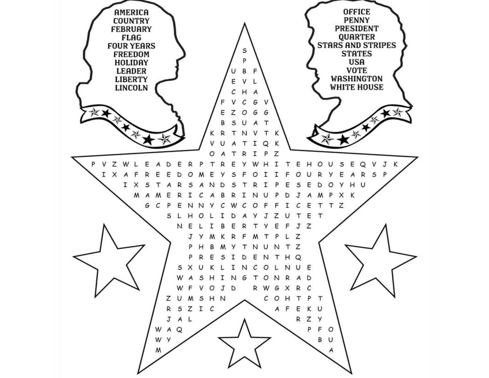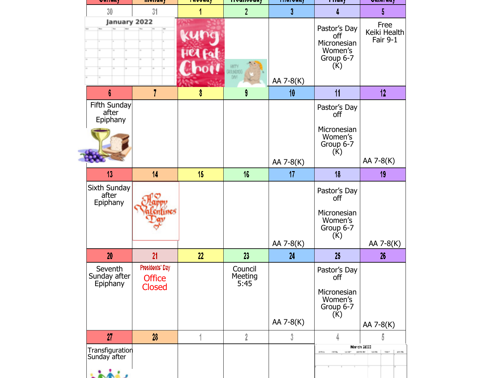| <u>миним у</u>                      | німіним у                                         | <b>IMAANNI</b>  | TTVMIIVVMMJ                | тнигчин ј       | і і імму                                                          | <b>AMINH</b>                                                  |
|-------------------------------------|---------------------------------------------------|-----------------|----------------------------|-----------------|-------------------------------------------------------------------|---------------------------------------------------------------|
| 30                                  | 31                                                |                 | $\overline{2}$             | 3               |                                                                   | 5                                                             |
| January 2022                        |                                                   |                 | HNTY<br>303 N.TTC<br>DW    | AA 7-8(K)       | Pastor's Day<br>off<br>Micronesian<br>Women's<br>Group 6-7<br>(K) | Free<br>Keiki Health<br>Fair 9-1                              |
| 6                                   | 7                                                 | 8               | 9                          | 10              | 11                                                                | 12                                                            |
| Fifth Sunday<br>after<br>Epiphany   |                                                   |                 |                            |                 | Pastor's Day<br>off<br>Micronesian<br>Women's<br>Group 6-7<br>(K) |                                                               |
| 13                                  | 14                                                | 15 <sub>1</sub> | 16                         | AA 7-8(K)<br>17 | 18                                                                | AA 7-8(K)<br>19                                               |
| Sixth Sunday<br>after<br>Epiphany   |                                                   |                 |                            | AA 7-8(K)       | Pastor's Day<br>off<br>Micronesian<br>Women's<br>Group 6-7<br>(K) | AA 7-8(K)                                                     |
| 20                                  | 21                                                | 22              | 23                         | 24              | 25                                                                | 26                                                            |
| Seventh<br>Sunday after<br>Epiphany | Presidents' Day<br><b>Office</b><br><b>Closed</b> |                 | Council<br>Meeting<br>5:45 | AA 7-8(K)       | Pastor's Day<br>off<br>Micronesian<br>Women's<br>Group 6-7<br>(K) | AA 7-8(K)                                                     |
| 27                                  | 28                                                |                 | 2                          | 3               | 4                                                                 | 5                                                             |
| Transfiguration<br>Sunday after     |                                                   |                 |                            |                 | <b>COLLA</b><br>101704<br>MIRT.                                   | March 2003<br>particular:<br><b>SOME</b><br>Notes:<br>and the |